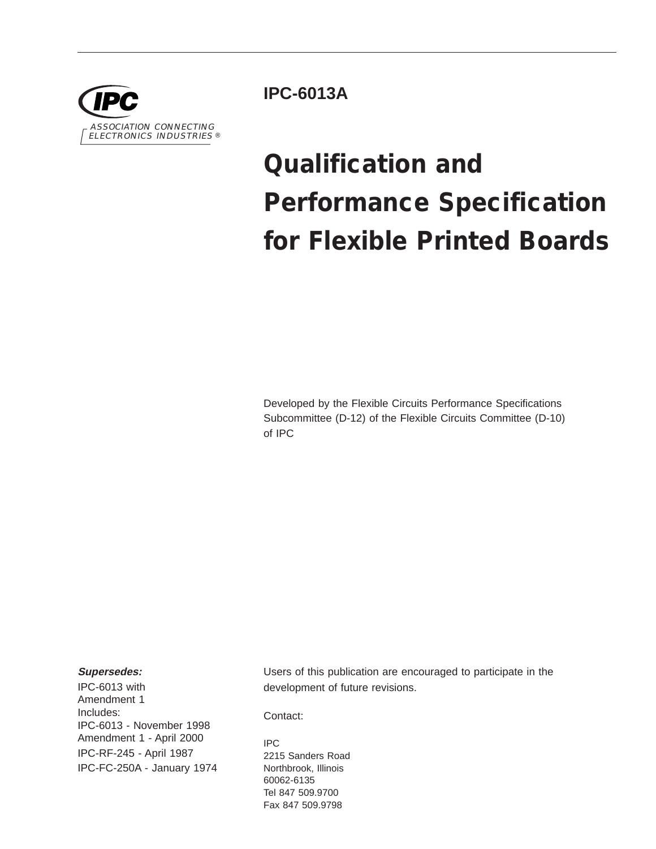

**IPC-6013A**

# **Qualification and Performance Specification for Flexible Printed Boards**

Developed by the Flexible Circuits Performance Specifications Subcommittee (D-12) of the Flexible Circuits Committee (D-10) of IPC

### **Supersedes:**

IPC-6013 with Amendment 1 Includes: IPC-6013 - November 1998 Amendment 1 - April 2000 IPC-RF-245 - April 1987 IPC-FC-250A - January 1974 Users of this publication are encouraged to participate in the development of future revisions.

Contact:

IPC 2215 Sanders Road Northbrook, Illinois 60062-6135 Tel 847 509.9700 Fax 847 509.9798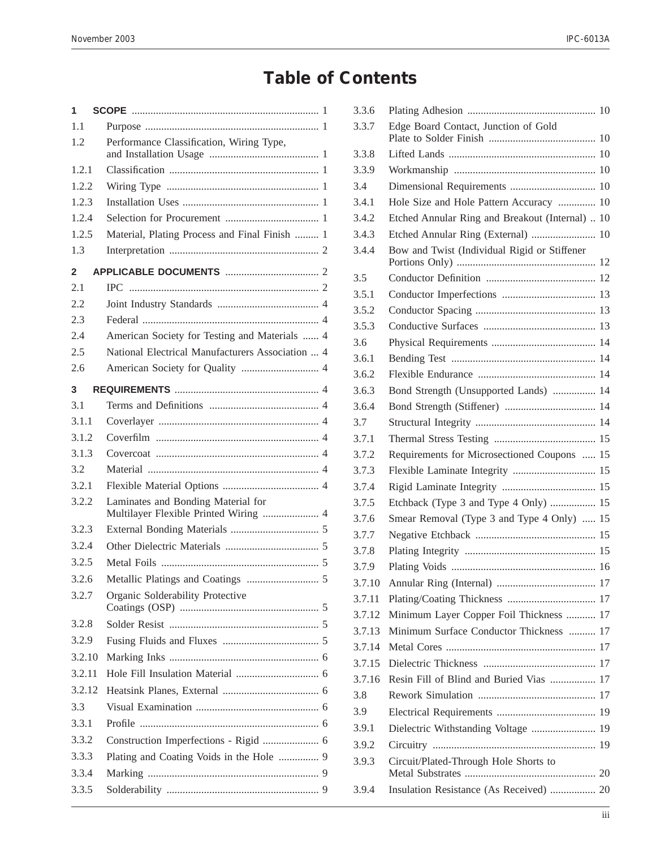# **Table of Contents**

| 1            |                                                                             |  |
|--------------|-----------------------------------------------------------------------------|--|
| 1.1          |                                                                             |  |
| 1.2          | Performance Classification, Wiring Type,                                    |  |
| 1.2.1        |                                                                             |  |
| 1.2.2        |                                                                             |  |
| 1.2.3        |                                                                             |  |
| 1.2.4        |                                                                             |  |
| 1.2.5        | Material, Plating Process and Final Finish  1                               |  |
| 1.3          |                                                                             |  |
| $\mathbf{2}$ |                                                                             |  |
| 2.1          |                                                                             |  |
| 2.2          |                                                                             |  |
| 2.3          |                                                                             |  |
| 2.4          | American Society for Testing and Materials  4                               |  |
| 2.5          | National Electrical Manufacturers Association  4                            |  |
| 2.6          |                                                                             |  |
| 3            |                                                                             |  |
| 31           |                                                                             |  |
| 3.1.1        |                                                                             |  |
| 3.1.2        |                                                                             |  |
| 3.1.3        |                                                                             |  |
| 3.2          |                                                                             |  |
| 3.2.1        |                                                                             |  |
| 3.2.2        | Laminates and Bonding Material for<br>Multilayer Flexible Printed Wiring  4 |  |
| 3.2.3        |                                                                             |  |
| 3.2.4        |                                                                             |  |
| 3.2.5        |                                                                             |  |
| 3.2.6        |                                                                             |  |
| 3.2.7        | Organic Solderability Protective                                            |  |
| 3.2.8        |                                                                             |  |
| 3.2.9        |                                                                             |  |
| 3.2.10       |                                                                             |  |
| 3.2.11       |                                                                             |  |
| 3.2.12       |                                                                             |  |
| 3.3          |                                                                             |  |
| 3.3.1        |                                                                             |  |
| 3.3.2        |                                                                             |  |
| 3.3.3        | Plating and Coating Voids in the Hole  9                                    |  |
| 3.3.4        |                                                                             |  |
| 3.3.5        |                                                                             |  |
|              |                                                                             |  |

| 3.3.6  |                                                 |  |
|--------|-------------------------------------------------|--|
| 3.3.7  | Edge Board Contact, Junction of Gold            |  |
| 3.3.8  |                                                 |  |
| 3.3.9  |                                                 |  |
| 3.4    |                                                 |  |
| 3.4.1  | Hole Size and Hole Pattern Accuracy  10         |  |
| 3.4.2  | Etched Annular Ring and Breakout (Internal)  10 |  |
| 3.4.3  | Etched Annular Ring (External)  10              |  |
| 3.4.4  | Bow and Twist (Individual Rigid or Stiffener    |  |
| 3.5    |                                                 |  |
| 3.5.1  |                                                 |  |
| 3.5.2  |                                                 |  |
| 3.5.3  |                                                 |  |
| 3.6    |                                                 |  |
| 3.6.1  |                                                 |  |
| 3.6.2  |                                                 |  |
| 3.6.3  | Bond Strength (Unsupported Lands)  14           |  |
| 3.6.4  |                                                 |  |
| 3.7    |                                                 |  |
| 3.7.1  |                                                 |  |
| 3.7.2  | Requirements for Microsectioned Coupons  15     |  |
| 3.7.3  |                                                 |  |
| 3.7.4  |                                                 |  |
| 3.7.5  | Etchback (Type 3 and Type 4 Only)  15           |  |
| 3.7.6  | Smear Removal (Type 3 and Type 4 Only)  15      |  |
| 3.7.7  |                                                 |  |
| 3.7.8  |                                                 |  |
| 3.7.9  |                                                 |  |
| 3.7.10 |                                                 |  |
| 3.7.11 |                                                 |  |
| 3.7.12 | Minimum Layer Copper Foil Thickness  17         |  |
| 3.7.13 | Minimum Surface Conductor Thickness  17         |  |
| 3.7.14 |                                                 |  |
| 3.7.15 |                                                 |  |
| 3.7.16 | Resin Fill of Blind and Buried Vias  17         |  |
| 3.8    |                                                 |  |
| 3.9    |                                                 |  |
| 3.9.1  | Dielectric Withstanding Voltage  19             |  |
| 3.9.2  |                                                 |  |
| 3.9.3  | Circuit/Plated-Through Hole Shorts to           |  |
| 3.9.4  | Insulation Resistance (As Received)  20         |  |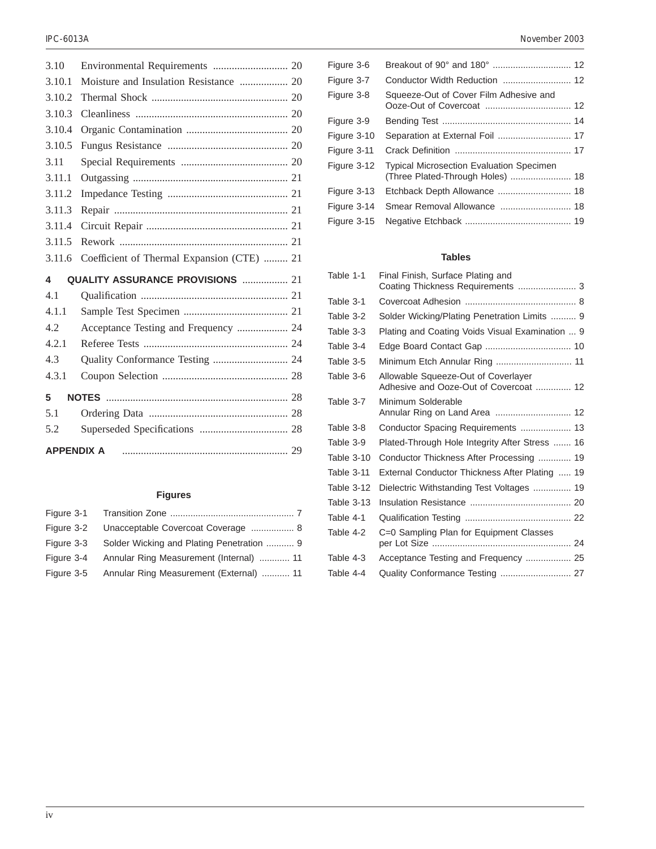| 3.10                                  |                                            |  |
|---------------------------------------|--------------------------------------------|--|
| 3.10.1                                | Moisture and Insulation Resistance  20     |  |
| 3.10.2                                |                                            |  |
| 3.10.3                                |                                            |  |
| 3.10.4                                |                                            |  |
| 3.10.5                                |                                            |  |
| 3.11                                  |                                            |  |
| 3.11.1                                |                                            |  |
| 3.11.2                                |                                            |  |
| 3.11.3                                |                                            |  |
| 3.11.4                                |                                            |  |
| 3.11.5                                |                                            |  |
| 3.11.6                                | Coefficient of Thermal Expansion (CTE)  21 |  |
| QUALITY ASSURANCE PROVISIONS  21<br>4 |                                            |  |
| 4.1                                   |                                            |  |
| 4.1.1                                 |                                            |  |
| 4.2                                   | Acceptance Testing and Frequency  24       |  |
| 4.2.1                                 |                                            |  |
| 4.3                                   | Quality Conformance Testing  24            |  |
| 4.3.1                                 |                                            |  |
| 5                                     |                                            |  |
| 5.1                                   |                                            |  |
| 5.2                                   |                                            |  |
| <b>APPENDIX A</b>                     |                                            |  |

### **Figures**

| Figure 3-2 | Unacceptable Covercoat Coverage  8        |
|------------|-------------------------------------------|
| Figure 3-3 | Solder Wicking and Plating Penetration  9 |
| Figure 3-4 | Annular Ring Measurement (Internal)  11   |
| Figure 3-5 | Annular Ring Measurement (External)  11   |

| Figure 3-6  |                                                                                     |
|-------------|-------------------------------------------------------------------------------------|
| Figure 3-7  |                                                                                     |
| Figure 3-8  | Squeeze-Out of Cover Film Adhesive and                                              |
| Figure 3-9  |                                                                                     |
| Figure 3-10 |                                                                                     |
| Figure 3-11 |                                                                                     |
| Figure 3-12 | <b>Typical Microsection Evaluation Specimen</b><br>(Three Plated-Through Holes)  18 |
| Figure 3-13 |                                                                                     |
| Figure 3-14 |                                                                                     |
| Figure 3-15 |                                                                                     |
|             |                                                                                     |

### **Tables**

| Table 1-1         | Final Finish, Surface Plating and<br>Coating Thickness Requirements  3        |
|-------------------|-------------------------------------------------------------------------------|
| Table 3-1         |                                                                               |
| Table 3-2         | Solder Wicking/Plating Penetration Limits  9                                  |
| Table 3-3         | Plating and Coating Voids Visual Examination  9                               |
| Table 3-4         |                                                                               |
| Table 3-5         |                                                                               |
| Table 3-6         | Allowable Squeeze-Out of Coverlayer<br>Adhesive and Ooze-Out of Covercoat  12 |
| Table 3-7         | Minimum Solderable<br>Annular Ring on Land Area  12                           |
| Table 3-8         | Conductor Spacing Requirements  13                                            |
| Table 3-9         | Plated-Through Hole Integrity After Stress  16                                |
| <b>Table 3-10</b> | Conductor Thickness After Processing  19                                      |
| Table 3-11        | External Conductor Thickness After Plating  19                                |
| Table 3-12        | Dielectric Withstanding Test Voltages  19                                     |
| Table 3-13        |                                                                               |
| Table 4-1         |                                                                               |
| Table 4-2         | C=0 Sampling Plan for Equipment Classes                                       |
| Table 4-3         | Acceptance Testing and Frequency  25                                          |
| Table 4-4         | Quality Conformance Testing  27                                               |